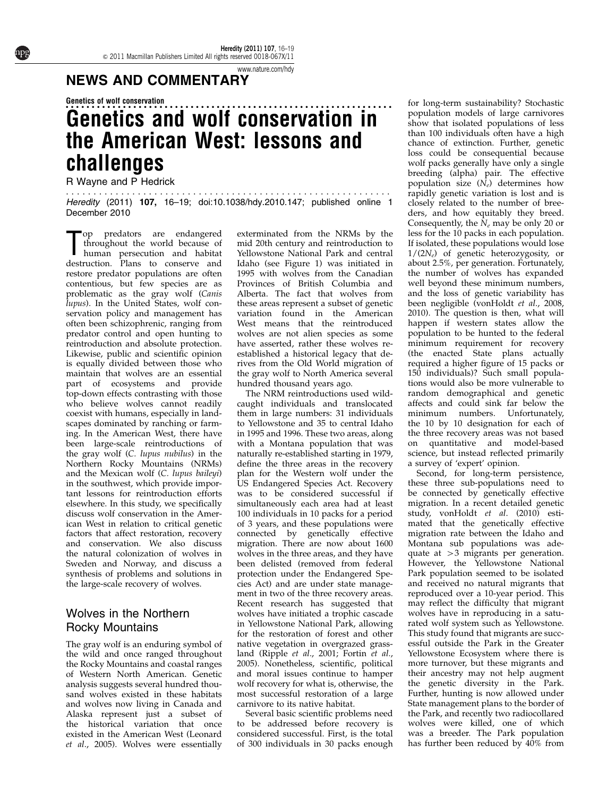[www.nature.com/hdy](http://www.nature.com/hdy)

...........................................................

# NEWS AND COMMENTARY

Genetics of wolf conservation

# ............................................................... Genetics and wolf conservation in the American West: lessons and challenges

R Wayne and P Hedrick

Heredity (2011) 107, 16–19; doi[:10.1038/hdy.2010.147;](http://dx.doi.org/10.1038/hdy.2010.147) published online 1 December 2010

T op predators are endangered throughout the world because of human persecution and habitat destruction. Plans to conserve and restore predator populations are often contentious, but few species are as problematic as the gray wolf (Canis lupus). In the United States, wolf conservation policy and management has often been schizophrenic, ranging from predator control and open hunting to reintroduction and absolute protection. Likewise, public and scientific opinion is equally divided between those who maintain that wolves are an essential part of ecosystems and provide top-down effects contrasting with those who believe wolves cannot readily coexist with humans, especially in landscapes dominated by ranching or farming. In the American West, there have been large-scale reintroductions of the gray wolf (C. lupus nubilus) in the Northern Rocky Mountains (NRMs) and the Mexican wolf (C. lupus baileyi) in the southwest, which provide important lessons for reintroduction efforts elsewhere. In this study, we specifically discuss wolf conservation in the American West in relation to critical genetic factors that affect restoration, recovery and conservation. We also discuss the natural colonization of wolves in Sweden and Norway, and discuss a synthesis of problems and solutions in the large-scale recovery of wolves.

## Wolves in the Northern Rocky Mountains

The gray wolf is an enduring symbol of the wild and once ranged throughout the Rocky Mountains and coastal ranges of Western North American. Genetic analysis suggests several hundred thousand wolves existed in these habitats and wolves now living in Canada and Alaska represent just a subset of the historical variation that once existed in the American West ([Leonard](#page-3-0) et al[., 2005\)](#page-3-0). Wolves were essentially

exterminated from the NRMs by the mid 20th century and reintroduction to Yellowstone National Park and central Idaho (see [Figure 1](#page-1-0)) was initiated in 1995 with wolves from the Canadian Provinces of British Columbia and Alberta. The fact that wolves from these areas represent a subset of genetic variation found in the American West means that the reintroduced wolves are not alien species as some have asserted, rather these wolves reestablished a historical legacy that derives from the Old World migration of the gray wolf to North America several hundred thousand years ago.

The NRM reintroductions used wildcaught individuals and translocated them in large numbers: 31 individuals to Yellowstone and 35 to central Idaho in 1995 and 1996. These two areas, along with a Montana population that was naturally re-established starting in 1979, define the three areas in the recovery plan for the Western wolf under the US Endangered Species Act. Recovery was to be considered successful if simultaneously each area had at least 100 individuals in 10 packs for a period of 3 years, and these populations were connected by genetically effective migration. There are now about 1600 wolves in the three areas, and they have been delisted (removed from federal protection under the Endangered Species Act) and are under state management in two of the three recovery areas. Recent research has suggested that wolves have initiated a trophic cascade in Yellowstone National Park, allowing for the restoration of forest and other native vegetation in overgrazed grass-land (Ripple et al[., 2001; Fortin](#page-3-0) et al., [2005\)](#page-3-0). Nonetheless, scientific, political and moral issues continue to hamper wolf recovery for what is, otherwise, the most successful restoration of a large carnivore to its native habitat.

Several basic scientific problems need to be addressed before recovery is considered successful. First, is the total of 300 individuals in 30 packs enough

for long-term sustainability? Stochastic population models of large carnivores show that isolated populations of less than 100 individuals often have a high chance of extinction. Further, genetic loss could be consequential because wolf packs generally have only a single breeding (alpha) pair. The effective population size  $(N_e)$  determines how rapidly genetic variation is lost and is closely related to the number of breeders, and how equitably they breed. Consequently, the  $N_e$  may be only 20 or less for the 10 packs in each population. If isolated, these populations would lose  $1/(2N_e)$  of genetic heterozygosity, or about 2.5%, per generation. Fortunately, the number of wolves has expanded well beyond these minimum numbers, and the loss of genetic variability has been negligible ([vonHoldt](#page-3-0) et al., 2008, [2010\)](#page-3-0). The question is then, what will happen if western states allow the population to be hunted to the federal minimum requirement for recovery (the enacted State plans actually required a higher figure of 15 packs or 150 individuals)? Such small populations would also be more vulnerable to random demographical and genetic affects and could sink far below the minimum numbers. Unfortunately, the 10 by 10 designation for each of the three recovery areas was not based on quantitative and model-based science, but instead reflected primarily a survey of 'expert' opinion.

Second, for long-term persistence, these three sub-populations need to be connected by genetically effective migration. In a recent detailed genetic study, [vonHoldt](#page-3-0) et al. (2010) estimated that the genetically effective migration rate between the Idaho and Montana sub populations was adequate at  $>3$  migrants per generation. However, the Yellowstone National Park population seemed to be isolated and received no natural migrants that reproduced over a 10-year period. This may reflect the difficulty that migrant wolves have in reproducing in a saturated wolf system such as Yellowstone. This study found that migrants are successful outside the Park in the Greater Yellowstone Ecosystem where there is more turnover, but these migrants and their ancestry may not help augment the genetic diversity in the Park. Further, hunting is now allowed under State management plans to the border of the Park, and recently two radiocollared wolves were killed, one of which was a breeder. The Park population has further been reduced by 40% from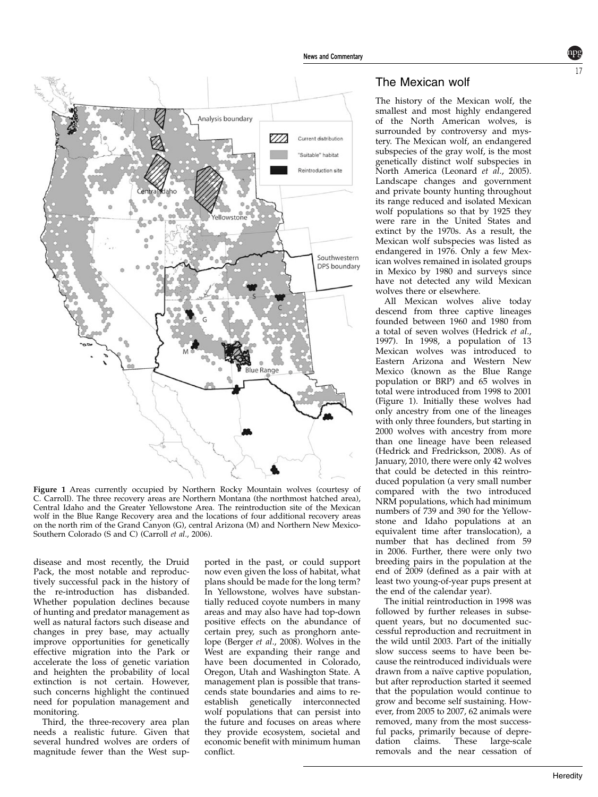<span id="page-1-0"></span>

Figure 1 Areas currently occupied by Northern Rocky Mountain wolves (courtesy of C. Carroll). The three recovery areas are Northern Montana (the northmost hatched area), Central Idaho and the Greater Yellowstone Area. The reintroduction site of the Mexican wolf in the Blue Range Recovery area and the locations of four additional recovery areas on the north rim of the Grand Canyon (G), central Arizona (M) and Northern New Mexico-Southern Colorado (S and C) ([Carroll](#page-3-0) et al., 2006).

disease and most recently, the Druid Pack, the most notable and reproductively successful pack in the history of the re-introduction has disbanded. Whether population declines because of hunting and predator management as well as natural factors such disease and changes in prey base, may actually improve opportunities for genetically effective migration into the Park or accelerate the loss of genetic variation and heighten the probability of local extinction is not certain. However, such concerns highlight the continued need for population management and monitoring.

Third, the three-recovery area plan needs a realistic future. Given that several hundred wolves are orders of magnitude fewer than the West sup-

ported in the past, or could support now even given the loss of habitat, what plans should be made for the long term? In Yellowstone, wolves have substantially reduced coyote numbers in many areas and may also have had top-down positive effects on the abundance of certain prey, such as pronghorn antelope ([Berger](#page-3-0) et al., 2008). Wolves in the West are expanding their range and have been documented in Colorado, Oregon, Utah and Washington State. A management plan is possible that transcends state boundaries and aims to reestablish genetically interconnected wolf populations that can persist into the future and focuses on areas where they provide ecosystem, societal and economic benefit with minimum human conflict.

#### The Mexican wolf

The history of the Mexican wolf, the smallest and most highly endangered of the North American wolves, is surrounded by controversy and mystery. The Mexican wolf, an endangered subspecies of the gray wolf, is the most genetically distinct wolf subspecies in North America [\(Leonard](#page-3-0) et al., 2005). Landscape changes and government and private bounty hunting throughout its range reduced and isolated Mexican wolf populations so that by 1925 they were rare in the United States and extinct by the 1970s. As a result, the Mexican wolf subspecies was listed as endangered in 1976. Only a few Mexican wolves remained in isolated groups in Mexico by 1980 and surveys since have not detected any wild Mexican wolves there or elsewhere.

17

All Mexican wolves alive today descend from three captive lineages founded between 1960 and 1980 from a total of seven wolves ([Hedrick](#page-3-0) et al., [1997\)](#page-3-0). In 1998, a population of 13 Mexican wolves was introduced to Eastern Arizona and Western New Mexico (known as the Blue Range population or BRP) and 65 wolves in total were introduced from 1998 to 2001 (Figure 1). Initially these wolves had only ancestry from one of the lineages with only three founders, but starting in 2000 wolves with ancestry from more than one lineage have been released [\(Hedrick and Fredrickson, 2008](#page-3-0)). As of January, 2010, there were only 42 wolves that could be detected in this reintroduced population (a very small number compared with the two introduced NRM populations, which had minimum numbers of 739 and 390 for the Yellowstone and Idaho populations at an equivalent time after translocation), a number that has declined from 59 in 2006. Further, there were only two breeding pairs in the population at the end of 2009 (defined as a pair with at least two young-of-year pups present at the end of the calendar year).

The initial reintroduction in 1998 was followed by further releases in subsequent years, but no documented successful reproduction and recruitment in the wild until 2003. Part of the initially slow success seems to have been because the reintroduced individuals were drawn from a naïve captive population, but after reproduction started it seemed that the population would continue to grow and become self sustaining. However, from 2005 to 2007, 62 animals were removed, many from the most successful packs, primarily because of depre-<br>dation claims. These large-scale dation claims. removals and the near cessation of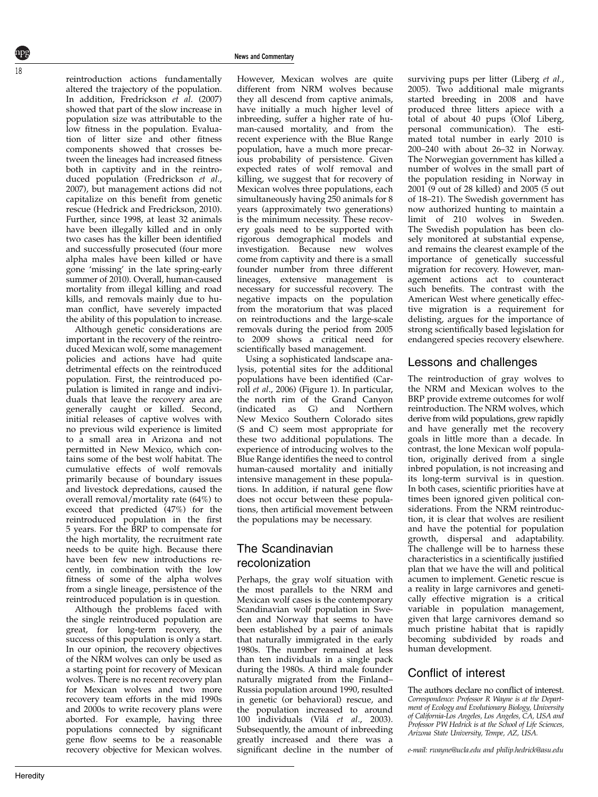reintroduction actions fundamentally altered the trajectory of the population. In addition, [Fredrickson](#page-3-0)  $e\hat{t}$   $\hat{a}l$ . (2007) showed that part of the slow increase in population size was attributable to the low fitness in the population. Evaluation of litter size and other fitness components showed that crosses between the lineages had increased fitness both in captivity and in the reintro-duced population ([Fredrickson](#page-3-0) et al., [2007](#page-3-0)), but management actions did not capitalize on this benefit from genetic rescue ([Hedrick and Fredrickson, 2010](#page-3-0)). Further, since 1998, at least 32 animals have been illegally killed and in only two cases has the killer been identified and successfully prosecuted (four more alpha males have been killed or have gone 'missing' in the late spring-early summer of 2010). Overall, human-caused mortality from illegal killing and road kills, and removals mainly due to human conflict, have severely impacted the ability of this population to increase.

Although genetic considerations are important in the recovery of the reintroduced Mexican wolf, some management policies and actions have had quite detrimental effects on the reintroduced population. First, the reintroduced population is limited in range and individuals that leave the recovery area are generally caught or killed. Second, initial releases of captive wolves with no previous wild experience is limited to a small area in Arizona and not permitted in New Mexico, which contains some of the best wolf habitat. The cumulative effects of wolf removals primarily because of boundary issues and livestock depredations, caused the overall removal/mortality rate (64%) to exceed that predicted (47%) for the reintroduced population in the first 5 years. For the BRP to compensate for the high mortality, the recruitment rate needs to be quite high. Because there have been few new introductions recently, in combination with the low fitness of some of the alpha wolves from a single lineage, persistence of the reintroduced population is in question.

Although the problems faced with the single reintroduced population are great, for long-term recovery, the success of this population is only a start. In our opinion, the recovery objectives of the NRM wolves can only be used as a starting point for recovery of Mexican wolves. There is no recent recovery plan for Mexican wolves and two more recovery team efforts in the mid 1990s and 2000s to write recovery plans were aborted. For example, having three populations connected by significant gene flow seems to be a reasonable recovery objective for Mexican wolves. However, Mexican wolves are quite different from NRM wolves because they all descend from captive animals, have initially a much higher level of inbreeding, suffer a higher rate of human-caused mortality, and from the recent experience with the Blue Range population, have a much more precarious probability of persistence. Given expected rates of wolf removal and killing, we suggest that for recovery of Mexican wolves three populations, each simultaneously having 250 animals for 8 years (approximately two generations) is the minimum necessity. These recovery goals need to be supported with rigorous demographical models and investigation. Because new wolves come from captivity and there is a small founder number from three different lineages, extensive management is necessary for successful recovery. The negative impacts on the population from the moratorium that was placed on reintroductions and the large-scale removals during the period from 2005 to 2009 shows a critical need for scientifically based management.

Using a sophisticated landscape analysis, potential sites for the additional populations have been identified ([Car](#page-3-0)roll et al[., 2006](#page-3-0)) ([Figure 1](#page-1-0)). In particular, the north rim of the Grand Canyon (indicated as G) and Northern New Mexico Southern Colorado sites (S and C) seem most appropriate for these two additional populations. The experience of introducing wolves to the Blue Range identifies the need to control human-caused mortality and initially intensive management in these populations. In addition, if natural gene flow does not occur between these populations, then artificial movement between the populations may be necessary.

### The Scandinavian recolonization

Perhaps, the gray wolf situation with the most parallels to the NRM and Mexican wolf cases is the contemporary Scandinavian wolf population in Sweden and Norway that seems to have been established by a pair of animals that naturally immigrated in the early 1980s. The number remained at less than ten individuals in a single pack during the 1980s. A third male founder naturally migrated from the Finland– Russia population around 1990, resulted in genetic (or behavioral) rescue, and the population increased to around 100 individuals (Vilá et al[., 2003](#page-3-0)). Subsequently, the amount of inbreeding greatly increased and there was a significant decline in the number of

surviving pups per litter [\(Liberg](#page-3-0) et al., [2005\)](#page-3-0). Two additional male migrants started breeding in 2008 and have produced three litters apiece with a total of about 40 pups (Olof Liberg, personal communication). The estimated total number in early 2010 is 200–240 with about 26–32 in Norway. The Norwegian government has killed a number of wolves in the small part of the population residing in Norway in  $2001(9)$  out of 28 killed) and 2005 (5 out of 18–21). The Swedish government has now authorized hunting to maintain a limit of 210 wolves in Sweden. The Swedish population has been closely monitored at substantial expense, and remains the clearest example of the importance of genetically successful migration for recovery. However, management actions act to counteract such benefits. The contrast with the American West where genetically effective migration is a requirement for delisting, argues for the importance of strong scientifically based legislation for endangered species recovery elsewhere.

#### Lessons and challenges

The reintroduction of gray wolves to the NRM and Mexican wolves to the BRP provide extreme outcomes for wolf reintroduction. The NRM wolves, which derive from wild populations, grew rapidly and have generally met the recovery goals in little more than a decade. In contrast, the lone Mexican wolf population, originally derived from a single inbred population, is not increasing and its long-term survival is in question. In both cases, scientific priorities have at times been ignored given political considerations. From the NRM reintroduction, it is clear that wolves are resilient and have the potential for population growth, dispersal and adaptability. The challenge will be to harness these characteristics in a scientifically justified plan that we have the will and political acumen to implement. Genetic rescue is a reality in large carnivores and genetically effective migration is a critical variable in population management, given that large carnivores demand so much pristine habitat that is rapidly becoming subdivided by roads and human development.

#### Conflict of interest

The authors declare no conflict of interest. Correspondence: Professor R Wayne is at the Department of Ecology and Evolutionary Biology, University of California-Los Angeles, Los Angeles, CA, USA and Professor PW Hedrick is at the School of Life Sciences, Arizona State University, Tempe, AZ, USA.

e-mail: [rwayne@ucla.edu](mailto:rwayne@ucla.edu) and [philip.hedrick@asu.edu](mailto:philip.hedrick@asu.edu)